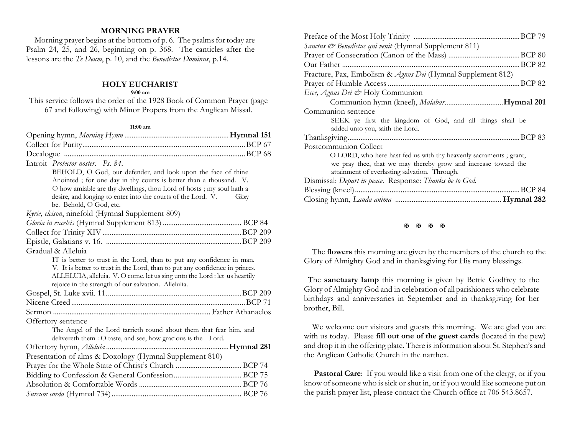# **MORNING PRAYER**

Morning prayer begins at the bottom of  $p$ . 6. The psalms for today are Psalm 24, 25, and 26, beginning on p. 368. The canticles after the lessons are the *Te Deum*, p. 10, and the *Benedictus Dominus*, p.14.

### **HOLY EUCHARIST**

#### **9:00 am**

This service follows the order of the 1928 Book of Common Prayer (page 67 and following) with Minor Propers from the Anglican Missal.

#### **11:00 am**

| Introit Protector noster. Ps. 84.                                            |       |
|------------------------------------------------------------------------------|-------|
| BEHOLD, O God, our defender, and look upon the face of thine                 |       |
| Anointed; for one day in thy courts is better than a thousand. V.            |       |
| O how amiable are thy dwellings, thou Lord of hosts; my soul hath a          |       |
| desire, and longing to enter into the courts of the Lord. V.                 | Glory |
| be. Behold, O God, etc.                                                      |       |
| Kyrie, eleison, ninefold (Hymnal Supplement 809)                             |       |
|                                                                              |       |
|                                                                              |       |
|                                                                              |       |
| Gradual & Alleluia                                                           |       |
| IT is better to trust in the Lord, than to put any confidence in man.        |       |
| V. It is better to trust in the Lord, than to put any confidence in princes. |       |
| ALLELUIA, alleluia. V. O come, let us sing unto the Lord : let us heartily   |       |
| rejoice in the strength of our salvation. Allelulia.                         |       |
|                                                                              |       |
|                                                                              |       |
|                                                                              |       |
| Offertory sentence                                                           |       |
| The Angel of the Lord tarrieth round about them that fear him, and           |       |
| delivereth them : O taste, and see, how gracious is the Lord.                |       |
|                                                                              |       |
| Presentation of alms & Doxology (Hymnal Supplement 810)                      |       |
|                                                                              |       |
|                                                                              |       |
|                                                                              |       |
|                                                                              |       |

| <i>Sanctus &amp; Benedictus qui venit</i> (Hymnal Supplement 811) |
|-------------------------------------------------------------------|
|                                                                   |
|                                                                   |
| Fracture, Pax, Embolism & Agnus Dei (Hymnal Supplement 812)       |
|                                                                   |
| Ecee, Agnus Dei & Holy Communion                                  |
|                                                                   |
| Communion sentence                                                |
| SEEK ye first the kingdom of God, and all things shall be         |
| added unto you, saith the Lord.                                   |
|                                                                   |
| Postcommunion Collect                                             |
| O LORD, who here hast fed us with thy heavenly sacraments; grant, |
| we pray thee, that we may thereby grow and increase toward the    |
| attainment of everlasting salvation. Through.                     |
| Dismissal: Depart in peace. Response: Thanks be to God.           |
|                                                                   |
|                                                                   |
|                                                                   |

## **H H H H**

 The **flowers** this morning are given by the members of the church to the Glory of Almighty God and in thanksgiving for His many blessings.

The **sanctuary lamp** this morning is given by Bettie Godfrey to the Glory of Almighty God and in celebration of all parishioners who celebrate birthdays and anniversaries in September and in thanksgiving for her brother, Bill.

 We welcome our visitors and guests this morning. We are glad you are with us today. Please **fill out one of the guest cards** (located in the pew) and drop it in the offering plate. There is information about St. Stephen's and the Anglican Catholic Church in the narthex.

**Pastoral Care:** If you would like a visit from one of the clergy, or if you know of someone who is sick or shut in, or if you would like someone put on the parish prayer list, please contact the Church office at 706 543.8657.